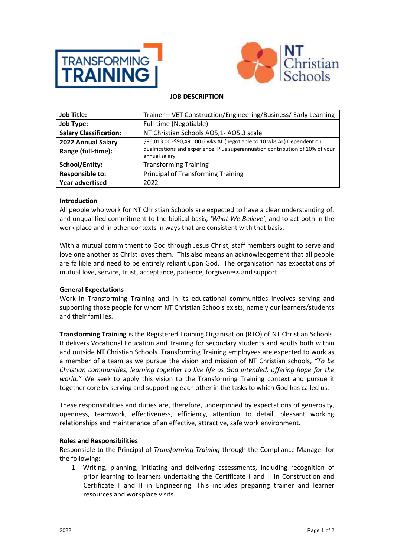



## **JOB DESCRIPTION**

| <b>Job Title:</b>                        | Trainer - VET Construction/Engineering/Business/ Early Learning                                                                                                              |
|------------------------------------------|------------------------------------------------------------------------------------------------------------------------------------------------------------------------------|
| <b>Job Type:</b>                         | Full-time (Negotiable)                                                                                                                                                       |
| <b>Salary Classification:</b>            | NT Christian Schools AO5,1-AO5.3 scale                                                                                                                                       |
| 2022 Annual Salary<br>Range (full-time): | \$86,013.00 -\$90,491.00 6 wks AL (negotiable to 10 wks AL) Dependent on<br>qualifications and experience. Plus superannuation contribution of 10% of your<br>annual salary. |
| <b>School/Entity:</b>                    | <b>Transforming Training</b>                                                                                                                                                 |
| <b>Responsible to:</b>                   | <b>Principal of Transforming Training</b>                                                                                                                                    |
| <b>Year advertised</b>                   | 2022                                                                                                                                                                         |

### **Introduction**

All people who work for NT Christian Schools are expected to have a clear understanding of, and unqualified commitment to the biblical basis, *'What We Believe'*, and to act both in the work place and in other contexts in ways that are consistent with that basis.

With a mutual commitment to God through Jesus Christ, staff members ought to serve and love one another as Christ loves them. This also means an acknowledgement that all people are fallible and need to be entirely reliant upon God. The organisation has expectations of mutual love, service, trust, acceptance, patience, forgiveness and support.

#### **General Expectations**

Work in Transforming Training and in its educational communities involves serving and supporting those people for whom NT Christian Schools exists, namely our learners/students and their families.

**Transforming Training** is the Registered Training Organisation (RTO) of NT Christian Schools. It delivers Vocational Education and Training for secondary students and adults both within and outside NT Christian Schools. Transforming Training employees are expected to work as a member of a team as we pursue the vision and mission of NT Christian schools, *"To be Christian communities, learning together to live life as God intended, offering hope for the world."* We seek to apply this vision to the Transforming Training context and pursue it together core by serving and supporting each other in the tasks to which God has called us.

These responsibilities and duties are, therefore, underpinned by expectations of generosity, openness, teamwork, effectiveness, efficiency, attention to detail, pleasant working relationships and maintenance of an effective, attractive, safe work environment.

#### **Roles and Responsibilities**

Responsible to the Principal of *Transforming Training* through the Compliance Manager for the following:

1. Writing, planning, initiating and delivering assessments, including recognition of prior learning to learners undertaking the Certificate I and II in Construction and Certificate I and II in Engineering. This includes preparing trainer and learner resources and workplace visits.